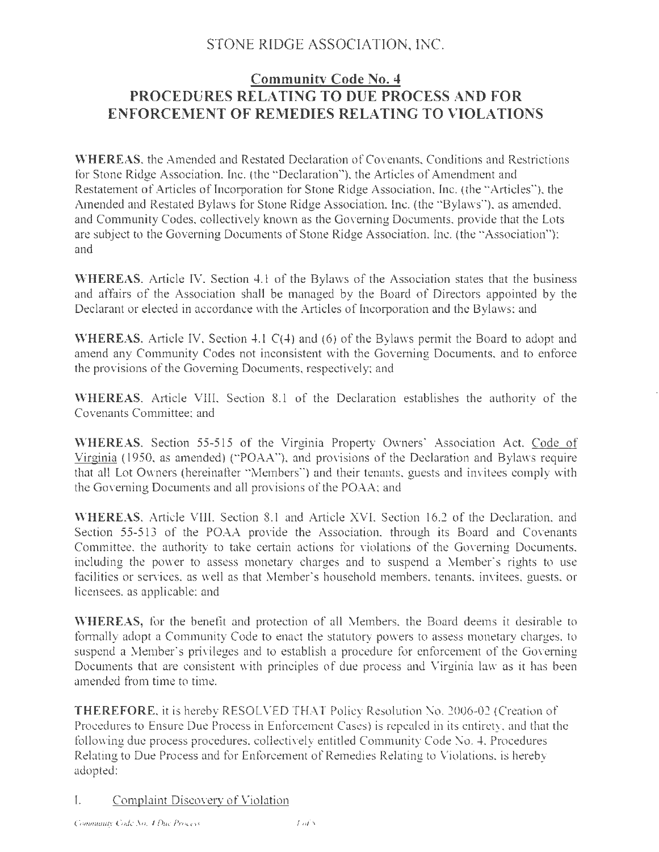# STONE RIDGE ASSOCIATION, INC.

# **Community Code No. 4 PROCEDURES RELATING TO DUE PROCESS AND FOR ENFORCEMENT OF REMEDIES RELATING TO VIOLATIONS**

**WHEREAS**, the Amended and Restated Declaration of Covenants, Conditions and Restrictions for Stone Ridge Association, lnc. (the "Declaration"), the Articles of Amendment and Restatement of Articles of Incorporation for Stone Ridge Association, Inc. (the "Articles"), the Amended and Restated Bylaws for Stone Ridge Association, Inc. (the "Bylaws"), as amended, and Community Codes, collectively known as the Governing Documents, provide that the Lots are subject to the Governing Documents of Stone Ridge Association, lnc. (the "Association"); and

WHEREAS, Article IV. Section 4.1 of the Bylaws of the Association states that the business and affairs of the Association shall be managed by the Board of Directors appointed by the Declarant or elected in accordance with the Articles of Incorporation and the Bylaws; and

**WHEREAS,** Article IV, Section 4.1 C(4) and (6) of the Bylaws permit the Board to adopt and amend any Community Codes not inconsistent with the Governing Documents, and to enforce the provisions of the Governing Documents, respectively; and

WHEREAS, Article VIII, Section 8.1 of the Declaration establishes the authority of the Covenants Committee; and

**WHEREAS,** Section 55-515 of the Virginia Property Owners' Association Act, Code of Virginia ( 1950, as amended) (" POAA"), and provisions of the Declaration and Bylaws require that all Lot Owners (hereinafter "Members") and their tenants, guests and invitees comply with the Governing Documents and all provisions of the POAA; and

WHEREAS, Article VIII, Section 8.1 and Article XVI, Section 16.2 of the Declaration, and Section 55-513 of the POAA provide the Association, through its Board and Covenants Committee, the authority to take certain actions for violations of the Governing Documents, including the power to assess monetary charges and to suspend a Member's rights to use facilities or services, as well as that Member's household members, tenants, invitees, guests, or licensees, as applicable; and

**WHEREAS,** for the benefit and protection of all Members, the Board deems it desirable to formally adopt a Community Code to enact the statutory powers to assess monetary charges, to suspend a Member's privileges and to establish a procedure for enforcement of the Governing Documents that are consistent with principles of due process and Virginia law as it has been amended from time to time.

**THEREFORE,** it is hereby RESOLVED THAT Policy Resolution No. 2006-02 (Creation of Procedures to Ensure Due Process in Enforcement Cases) is repealed in its entirety, and that the following due process procedures, collectively entitled Community Code No. 4. Procedures Relating to Due Process and for Enforcement of Remedies Relating to Violations, is hereby adopted:

# I. Complaint/Discovery of Violation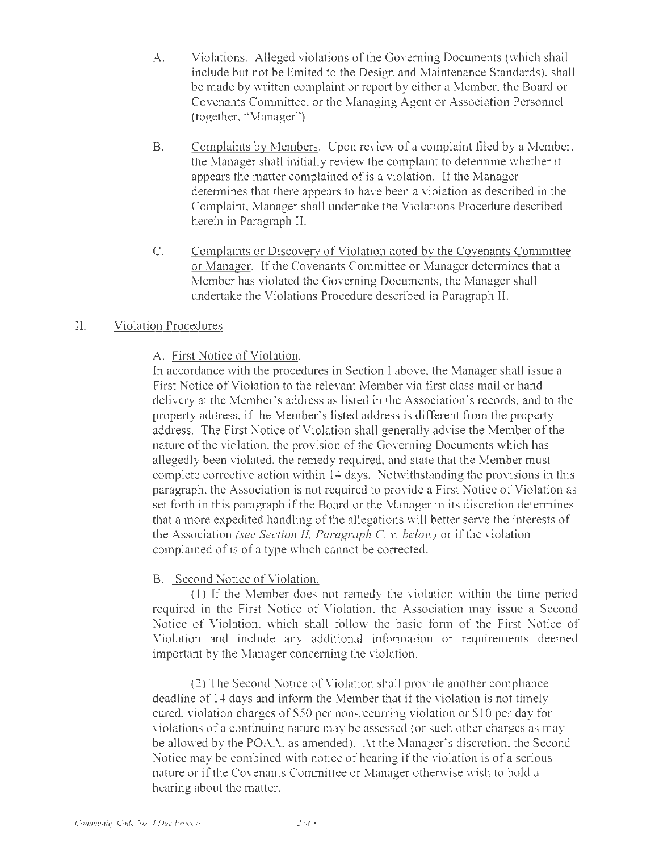- A. Violations. Alleged violations of the Governing Documents (which shall include but not be limited to the Design and Maintenance Standards). shall be made by written complaint or report by either a Member, the Board or Covenants Committee, or the Managing Agent or Association Personnel (together, "Manager").
- B. Complaints by Members. Upon review of a complaint filed by a Member, the Manager shall initially review the complaint to detennine whether it appears the matter complained of is a violation. If the Manager determines that there appears to have been a violation as described in the Complaint, Manager shall undertake the Violations Procedure described herein in Paragraph II.
- C. Complaints or Discovery of Violation noted by the Covenants Committee or Manager. [f the Covenants Committee or Manager determines that a Member has violated the Governing Documents, the Manager shall undertake the Violations Procedure described in Paragraph II.

### II. Violation Procedures

### A. First Notice of Violation.

In accordance with the procedures in Section I above, the Manager shall issue a First Notice of Violation to the relevant Member via first class mail or hand delivery at the Member's address as listed in the Association's records, and to the property address, if the Member's listed address is different from the property address. The First Notice of Violation shall generally advise the Member of the nature of the violation, the provision of the Governing Documents which has allegedly been violated, the remedy required, and state that the Member must complete corrective action within 14 days. Notwithstanding the provisions in this paragraph, the Association is not required to provide a First Notice of Violation as set forth in this paragraph if the Board or the Manager in its discretion determines that a more expedited handling of the allegations will better serve the interests of the Association *(see Section II, Paragraph* C. *v. below)* or if the violation complained of is of a type which cannot be corrected.

### B. Second Notice of Violation.

 $(1)$  If the Member does not remedy the violation within the time period required in the First Notice of Violation, the Association may issue a Second Notice of Violation, which shall follow the basic form of the First Notice of Violation and include any additional information or requirements deemed important by the Manager concerning the violation.

(2) The Second Notice of Violation shall provide another compliance deadline of 14 days and inform the Member that if the violation is not timely cured, violation charges of*SSO* per non-recurring violation or S 10 per day for violations of a continuing nature may be assessed ( or such other charges as may be allowed by the POAA, as amended). At the Manager's discretion, the Second Notice may be combined with notice of hearing if the violation is of a serious nature or if the Covenants Committee or Manager otherwise wish to hold a hearing about the matter.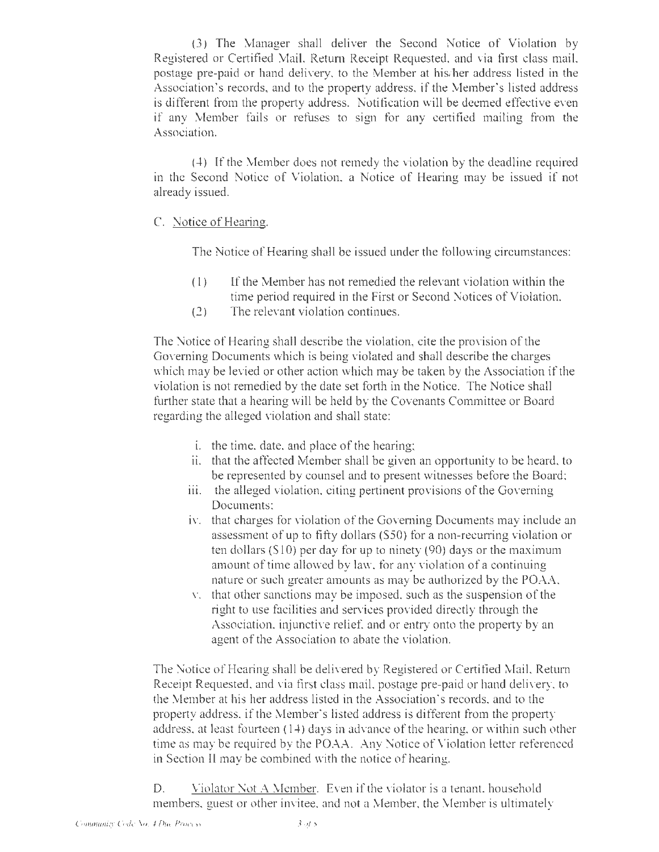(3) The Manager shall deliver the Second Notice of Violation by Registered or Certified Mail, Return Receipt Requested, and via first class mail, postage pre-paid or hand delivery. to the Member at his/her address listed in the Association's records, and to the property address, if the Member's listed address is different from the property address. Notification will be deemed effective even if any Member fails or refuses to sign for any certified mailing from the Association.

(4) [f the Member does not remedy the violation by the deadline required in the Second Notice of Violation, a Notice of Heming may be issued if not already issued.

### C. Notice of Hearing.

The Notice of Hearing shall be issued under the following circumstances:

- (I) If the Member has not remedied the relevant violation within the time period required in the First or Second Notices of Violation,
- (2) The relevant violation continues.

The Notice of Hearing shall describe the violation, cite the provision of the Governing Documents which is being violated and shall describe the charges which may be levied or other action which may be taken by the Association if the violation is not remedied by the date set forth in the Notice. The Notice shall further state that a hearing will be held by the Covenants Committee or Board regarding the alleged violation and shall state:

- i. the time, date, and place of the hearing;
- ii. that the affected Member shall be given an opportunity to be heard, to be represented by counsel and to present witnesses before the Board;
- iii. the alleged violation, citing pertinent provisions of the Governing Documents;
- iv. that charges for violation of the Governing Documents may include an assessment of up to fifty dollars (\$50) for a non-recuning violation or ten dollars  $(510)$  per day for up to ninety  $(90)$  days or the maximum amount of time allowed by law, for any violation of a continuing nature or such greater amounts as may be authorized by the POAA,
- v. that other sanctions may be imposed. such as the suspension of the right to use facilities and services provided directly through the Association, injunctive relief, and or entry onto the property by an agent of the Association to abate the violation.

The Notice of Hearing shall be delivered by Registered or Certified Mail, Return Receipt Requested, and via first class mail, postage pre-paid or hand delivery, to the Member at his her address listed in the Association's records, and to the property address, if the Member's listed address is different from the property address, at least fourteen  $(14)$  days in advance of the hearing, or within such other time as may be required by the POAA. Any Notice of Violation letter referenced in Section II may be combined with the notice of hearing.

D. Violator Not A Member. Even if the violator is a tenant, household members, guest or other invitee. and not a Member, the Member is ultimately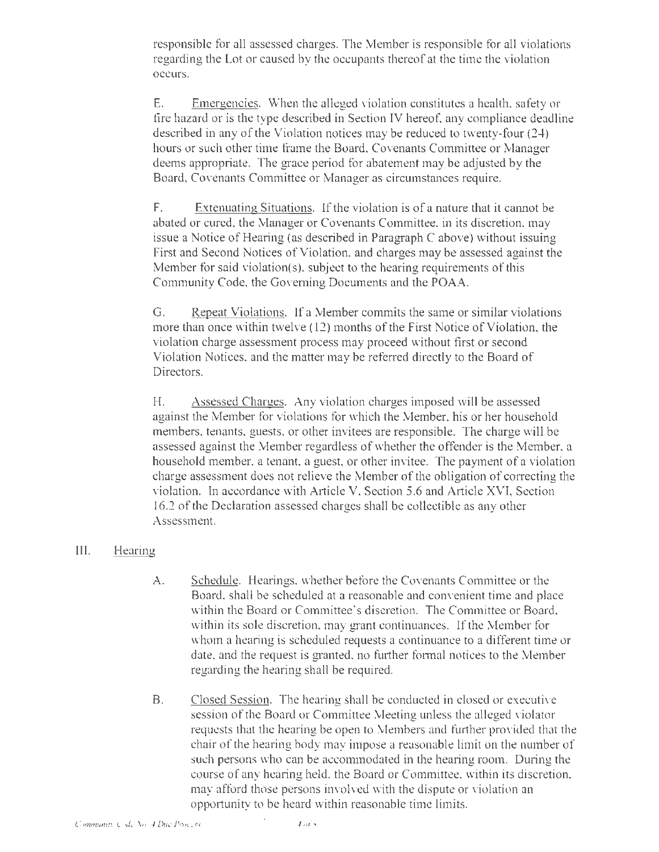responsible for all assessed charges. The Member is responsible for all violations regarding the Lot or caused by the occupants thereof at the time the violation occurs.

E. Emergencies. When the alleged violation constitutes a health, safety or fire hazard or is the type described in Section IV hereof, any compliance deadline described in any of the Violation notices may be reduced to twenty-four (24) hours or such other time frame the Board, Covenants Committee or Manager deems appropriate. The grace period for abatement may be adjusted by the Board, Covenants Committee or Manager as circumstances require.

F. Extenuating Situations. If the violation is of a nature that it cannot be abated or cured, the Manager or Covenants Committee, in its discretion, may issue a Notice of Hearing (as described in Paragraph C above) without issuing First and Second Notices of Violation, and charges may be assessed against the Member for said violation(s), subject to the hearing requirements of this Community Code, the Governing Documents and the POAA.

G. Repeat Violations. If a Member commits the same or similar violations more than once within twelve  $(12)$  months of the First Notice of Violation, the violation charge assessment process may proceed without first or second Violation Notices, and the matter may be referred directly to the Board of Directors.

H. Assessed Charges. Any violation charges imposed will be assessed against the Member for violations for which the Member, his or her household members, tenants, guests, or other invitees are responsible. The charge will be assessed against the Member regardless of whether the offender is the Member, a household member, a tenant, a guest, or other invitee. The payment of a violation charge assessment does not relieve the Member of the obligation of correcting the violation. ln accordance with A11icle V, Section 5.6 and Article XVI, Section 16.2 of the Declaration assessed charges shall be collectible as any other Assessment.

#### III. Hearing

- A. Schedule. Hearings, whether before the Covenants Committee or the Board, shall be scheduled at a reasonable and convenient time and place within the Board or Committee's discretion. The Committee or Board, within its sole discretion, may grant continuances. If the Member for whom a hearing is scheduled requests a continuance to a different time or date, and the request is granted, no further formal notices to the Member regarding the hearing shall be required.
- B. Closed Session. The hearing shall be conducted in closed or executive session of the Board or Committee Meeting unless the alleged violator requests that the hearing be open to Members and further provided that the chair of the hearing body may impose a reasonable limit on the number of such persons who can be accommodated in the hearing room. During the course of any hearing held, the Board or Committee, within its discretion, may afford those persons involved with the dispute or violation an opportunity to be heard within reasonable time limits.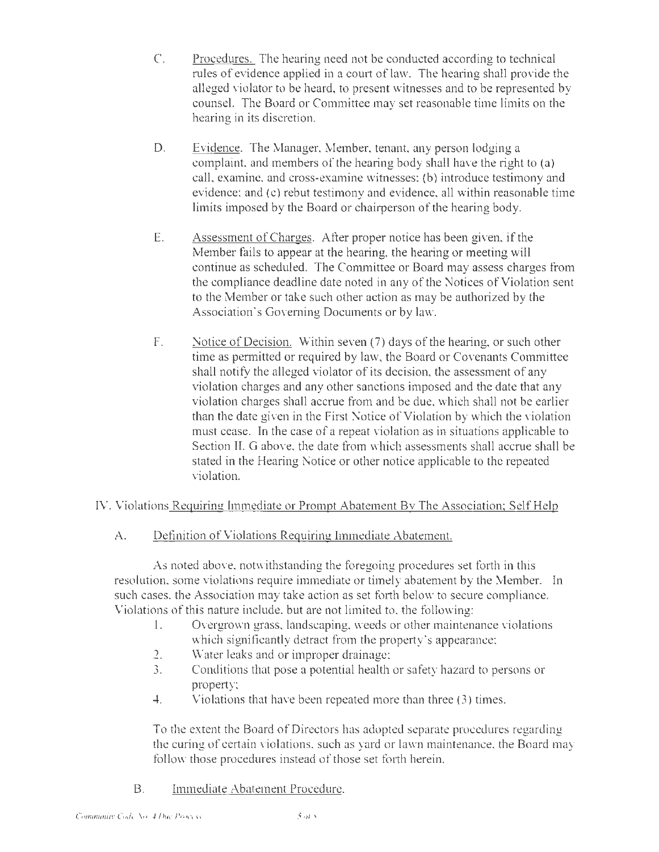- C. Procedures. The hearing need not be conducted according to technical rules of evidence applied in a court of law. The hearing shall provide the alleged violator to be heard, to present witnesses and to be represented by counsel. The Board or Committee may set reasonable time limits on the hearing in its discretion.
- D. Evidence. The Manager, Member, tenant, any person lodging a complaint, and members of the hearing body shall have the right to (a) call, examine, and cross-examine witnesses; (b) introduce testimony and evidence; and (c) rebut testimony and evidence, all within reasonable time limits imposed by the Board or chairperson of the hearing body.
- E. Assessment of Charges. After proper notice has been given, if the Member fails to appear at the hearing, the hearing or meeting will continue as scheduled. The Committee or Board may assess charges from the compliance deadline date noted in any of the Notices of Violation sent to the Member or take such other action as may be authorized by the Association's Governing Documents or by law.
- F. Notice of Decision. Within seven (7) days of the hearing, or such other time as permitted or required by law, the Board or Covenants Committee shall notify the alleged violator of its decision, the assessment of any violation charges and any other sanctions imposed and the date that any violation charges shall accrue from and be due, which shall not be earlier than the date given in the First Notice of Violation by which the violation must cease. In the case of a repeat violation as in situations applicable to Section II. G above, the date from which assessments shall accrue shall be stated in the Hearing Notice or other notice applicable to the repeated violation.

# IV. Violations Requiring Immediate or Prompt Abatement By The Association; Self Help

A. Definition of Violations Requiring immediate Abatement.

As noted above, notwithstanding the foregoing procedures set forth in this resolution, some violations require immediate or timely abatement by the Member. In such cases, the Association may take action as set forth below to secure compliance. Violations of this nature include, but are not limited to, the following:

- I. Overgrown grass, landscaping, weeds or other maintenance violations which significantly detract from the property's appearance:
- 2. Water leaks and or improper drainage;
- $\overline{3}$ . Conditions that pose a potential health or safety hazard to persons or property;
- 4. Violations that have been repeated more than three (3) times.

To the extent the Board of Directors has adopted separate procedures regarding the curing of certain violations, such as yard or lawn maintenance, the Board may follow those procedures instead of those set forth herein.

B. Immediate Abatement Procedure.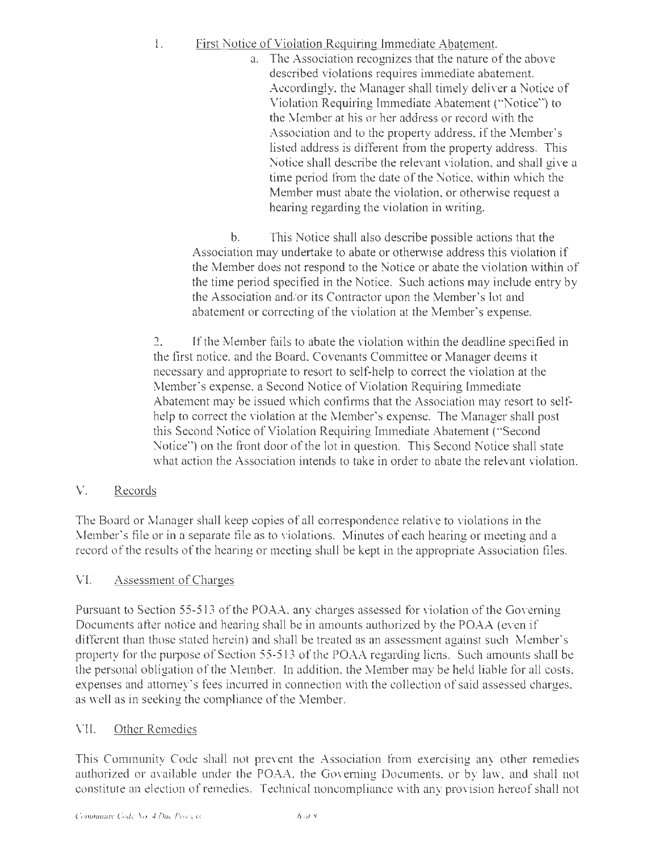- I. First Notice of Violation Requiring Immediate Abatement.
	- a. The Association recognizes that the nature of the above described violations requires immediate abatement. Accordingly, the Manager shall timely deliver a Notice of Violation Requiring Immediate Abatement ("Notice") to the Member at his or her address or record with the Association and to the property address, if the Member's listed address is different from the property address. This Notice shall describe the relevant violation, and shall give a time period from the date of the Notice, within which the Member must abate the violation, or otherwise request a hearing regarding the violation in writing.

b. *This* Notice shall also describe possible actions that the Association may undertake to abate or otherwise address this violation if the Member does not respond to the Notice or abate the violation within of the time period specified in the Notice. Such actions may include entry by the Association and/or its Contractor upon the Member's lot and abatement or correcting of the violation at the Member's expense.

2. If the Member fails to abate the violation within the deadline specified in the first notice, and the Board, Covenants Committee or Manager deems it necessary and appropriate to resort to self-help to correct the violation at the Member's expense, a Second Notice of Violation Requiring Immediate Abatement may be issued which confirms that the Association may resort to selfhelp to correct the violation at the Member's expense. The Manager shall post this Second Notice of Violation Requiring Immediate Abatement ("Second Notice") on the front door of the lot in question. This Second Notice shall state what action the Association intends to take in order to abate the relevant violation.

V. Records

The Board or Manager shall keep copies of all correspondence relative to violations in the Member's file or in a separate file as to violations. Minutes of each hearing or meeting and a record of the results of the hearing or meeting shall be kept in the appropriate Association files.

# VI. Assessment of Charges

Pursuant to Section 55-513 of the POAA, any charges assessed for violation of the Governing Documents after notice and hearing shall be in amounts authorized by the POAA (even if different than those stated herein) and shall be treated as an assessment against such Member's property for the purpose of Section 55-513 of the POAA regarding liens. Such amounts shall be the personal obligation of the Member. ln addition, the Member may be held liable for all costs, expenses and attorney's fees incurred in connection with the collection of said assessed charges, as well as in seeking the compliance of the Member.

# VII. Other Remedies

This Community Code shall not prevent the Association from exercising any other remedies authorized or available under the POAA, the Governing Documents, or by law, and shall not constitute an election of remedies. Technical noncompliance with any provision hereof shall not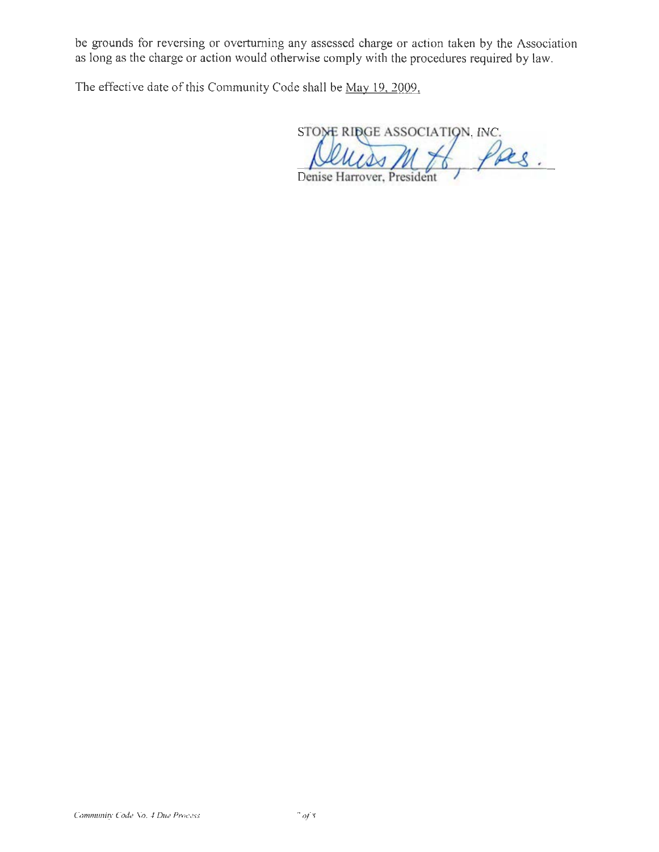be grounds for reversing or overturning any assessed charge or action taken by the Association as long as the charge or action would otherwise comply with the procedures required by law.

The effective date of this Community Code shall be May 19. 2009.

STONE RIDGE ASSOCIATION. INC. Pas.  $\overline{M}$ 

Denise Harrover, President